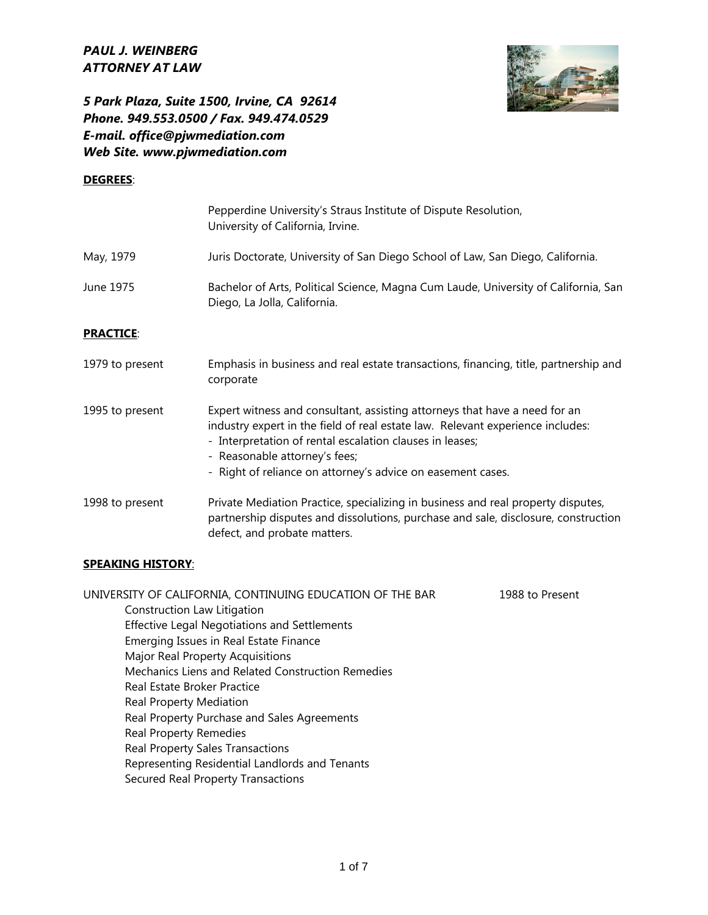

*5 Park Plaza, Suite 1500, Irvine, CA 92614 Phone. 949.553.0500 / Fax. 949.474.0529 E-mail. office@pjwmediation.com Web Site. www.pjwmediation.com*

#### **DEGREES**:

|                  | Pepperdine University's Straus Institute of Dispute Resolution,<br>University of California, Irvine.                                                                                                                                                                                                                     |
|------------------|--------------------------------------------------------------------------------------------------------------------------------------------------------------------------------------------------------------------------------------------------------------------------------------------------------------------------|
| May, 1979        | Juris Doctorate, University of San Diego School of Law, San Diego, California.                                                                                                                                                                                                                                           |
| June 1975        | Bachelor of Arts, Political Science, Magna Cum Laude, University of California, San<br>Diego, La Jolla, California.                                                                                                                                                                                                      |
| <b>PRACTICE:</b> |                                                                                                                                                                                                                                                                                                                          |
| 1979 to present  | Emphasis in business and real estate transactions, financing, title, partnership and<br>corporate                                                                                                                                                                                                                        |
| 1995 to present  | Expert witness and consultant, assisting attorneys that have a need for an<br>industry expert in the field of real estate law. Relevant experience includes:<br>- Interpretation of rental escalation clauses in leases;<br>- Reasonable attorney's fees;<br>- Right of reliance on attorney's advice on easement cases. |
| 1998 to present  | Private Mediation Practice, specializing in business and real property disputes,<br>partnership disputes and dissolutions, purchase and sale, disclosure, construction<br>defect, and probate matters.                                                                                                                   |

#### **SPEAKING HISTORY**:

UNIVERSITY OF CALIFORNIA, CONTINUING EDUCATION OF THE BAR 1988 to Present Construction Law Litigation Effective Legal Negotiations and Settlements Emerging Issues in Real Estate Finance Major Real Property Acquisitions Mechanics Liens and Related Construction Remedies Real Estate Broker Practice Real Property Mediation Real Property Purchase and Sales Agreements Real Property Remedies Real Property Sales Transactions Representing Residential Landlords and Tenants Secured Real Property Transactions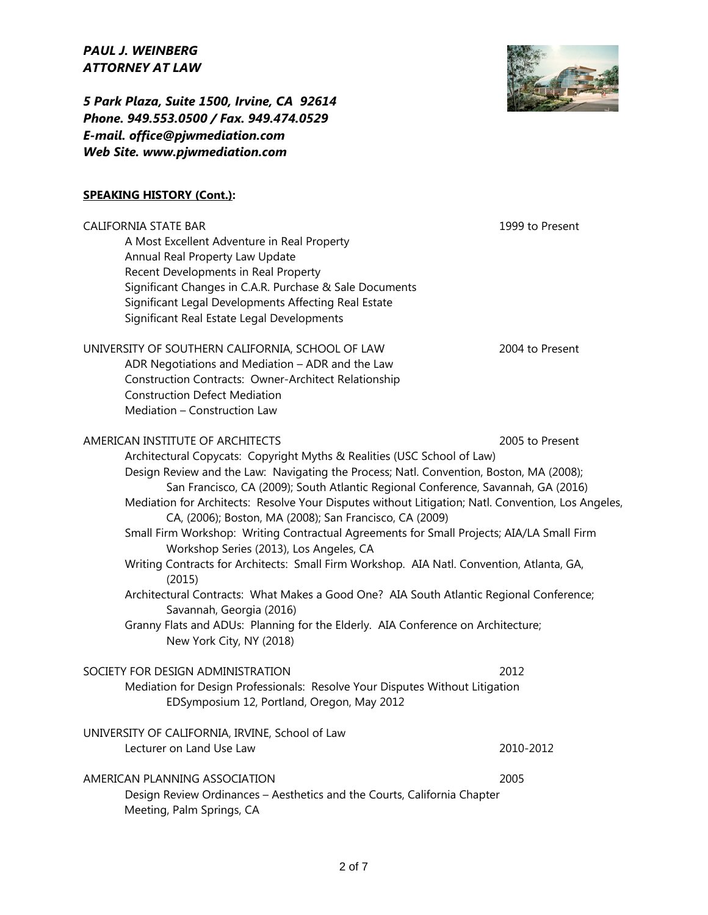*5 Park Plaza, Suite 1500, Irvine, CA 92614 Phone. 949.553.0500 / Fax. 949.474.0529 E-mail. office@pjwmediation.com Web Site. www.pjwmediation.com*

# **SPEAKING HISTORY (Cont.):**

CALIFORNIA STATE BAR 1999 to Present A Most Excellent Adventure in Real Property Annual Real Property Law Update Recent Developments in Real Property Significant Changes in C.A.R. Purchase & Sale Documents Significant Legal Developments Affecting Real Estate Significant Real Estate Legal Developments UNIVERSITY OF SOUTHERN CALIFORNIA, SCHOOL OF LAW 2004 to Present ADR Negotiations and Mediation – ADR and the Law Construction Contracts: Owner-Architect Relationship Construction Defect Mediation Mediation – Construction Law AMERICAN INSTITUTE OF ARCHITECTS 2005 to Present Architectural Copycats: Copyright Myths & Realities (USC School of Law) Design Review and the Law: Navigating the Process; Natl. Convention, Boston, MA (2008); San Francisco, CA (2009); South Atlantic Regional Conference, Savannah, GA (2016) Mediation for Architects: Resolve Your Disputes without Litigation; Natl. Convention, Los Angeles, CA, (2006); Boston, MA (2008); San Francisco, CA (2009) Small Firm Workshop: Writing Contractual Agreements for Small Projects; AIA/LA Small Firm Workshop Series (2013), Los Angeles, CA Writing Contracts for Architects: Small Firm Workshop. AIA Natl. Convention, Atlanta, GA, (2015) Architectural Contracts: What Makes a Good One? AIA South Atlantic Regional Conference; Savannah, Georgia (2016) Granny Flats and ADUs: Planning for the Elderly. AIA Conference on Architecture; New York City, NY (2018) SOCIETY FOR DESIGN ADMINISTRATION 2012 Mediation for Design Professionals: Resolve Your Disputes Without Litigation EDSymposium 12, Portland, Oregon, May 2012 UNIVERSITY OF CALIFORNIA, IRVINE, School of Law Lecturer on Land Use Law 2010-2012 AMERICAN PLANNING ASSOCIATION 2005 Design Review Ordinances – Aesthetics and the Courts, California Chapter Meeting, Palm Springs, CA

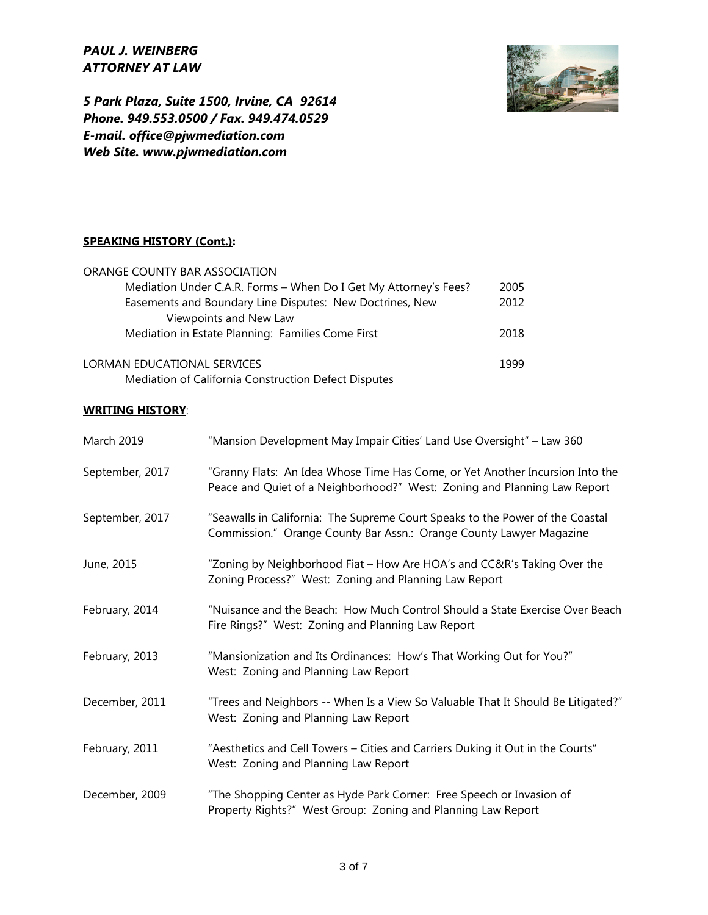

*5 Park Plaza, Suite 1500, Irvine, CA 92614 Phone. 949.553.0500 / Fax. 949.474.0529 E-mail. office@pjwmediation.com Web Site. www.pjwmediation.com*

#### **SPEAKING HISTORY (Cont.):**

| ORANGE COUNTY BAR ASSOCIATION                                    |      |
|------------------------------------------------------------------|------|
| Mediation Under C.A.R. Forms - When Do I Get My Attorney's Fees? | 2005 |
| Easements and Boundary Line Disputes: New Doctrines, New         | 2012 |
| Viewpoints and New Law                                           |      |
| Mediation in Estate Planning: Families Come First                | 2018 |
|                                                                  |      |
| LORMAN EDUCATIONAL SERVICES                                      |      |
| Mediation of California Construction Defect Disputes             |      |

### **WRITING HISTORY**:

| <b>March 2019</b> | "Mansion Development May Impair Cities' Land Use Oversight" - Law 360                                                                                     |
|-------------------|-----------------------------------------------------------------------------------------------------------------------------------------------------------|
| September, 2017   | "Granny Flats: An Idea Whose Time Has Come, or Yet Another Incursion Into the<br>Peace and Quiet of a Neighborhood?" West: Zoning and Planning Law Report |
| September, 2017   | "Seawalls in California: The Supreme Court Speaks to the Power of the Coastal<br>Commission." Orange County Bar Assn.: Orange County Lawyer Magazine      |
| June, 2015        | "Zoning by Neighborhood Fiat - How Are HOA's and CC&R's Taking Over the<br>Zoning Process?" West: Zoning and Planning Law Report                          |
| February, 2014    | "Nuisance and the Beach: How Much Control Should a State Exercise Over Beach<br>Fire Rings?" West: Zoning and Planning Law Report                         |
| February, 2013    | "Mansionization and Its Ordinances: How's That Working Out for You?"<br>West: Zoning and Planning Law Report                                              |
| December, 2011    | "Trees and Neighbors -- When Is a View So Valuable That It Should Be Litigated?"<br>West: Zoning and Planning Law Report                                  |
| February, 2011    | "Aesthetics and Cell Towers - Cities and Carriers Duking it Out in the Courts"<br>West: Zoning and Planning Law Report                                    |
| December, 2009    | "The Shopping Center as Hyde Park Corner: Free Speech or Invasion of<br>Property Rights?" West Group: Zoning and Planning Law Report                      |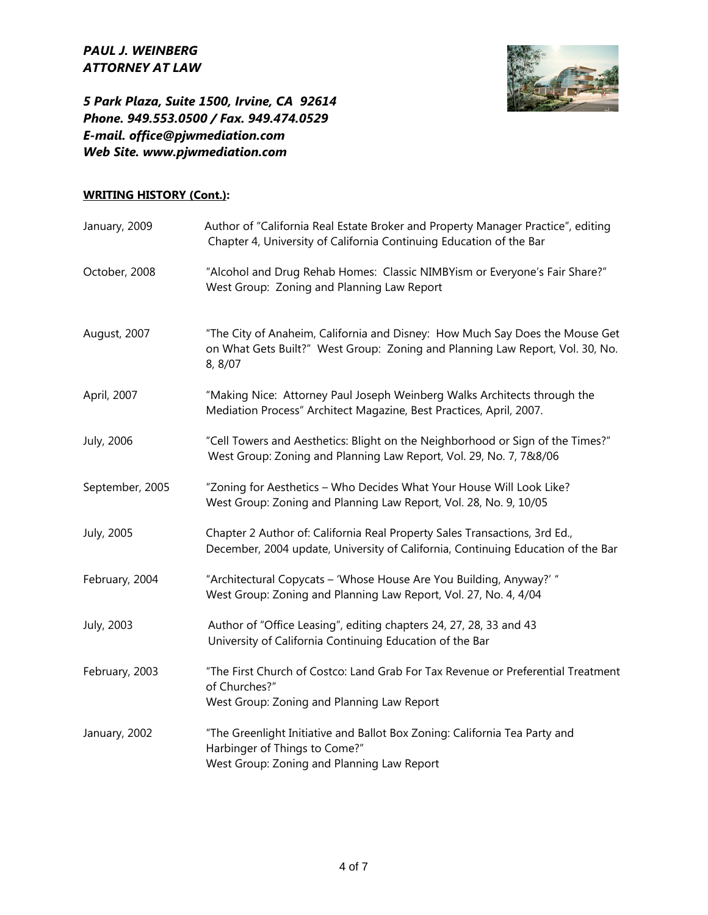

*5 Park Plaza, Suite 1500, Irvine, CA 92614 Phone. 949.553.0500 / Fax. 949.474.0529 E-mail. office@pjwmediation.com Web Site. www.pjwmediation.com*

# **WRITING HISTORY (Cont.):**

| January, 2009   | Author of "California Real Estate Broker and Property Manager Practice", editing<br>Chapter 4, University of California Continuing Education of the Bar                  |
|-----------------|--------------------------------------------------------------------------------------------------------------------------------------------------------------------------|
| October, 2008   | "Alcohol and Drug Rehab Homes: Classic NIMBYism or Everyone's Fair Share?"<br>West Group: Zoning and Planning Law Report                                                 |
| August, 2007    | "The City of Anaheim, California and Disney: How Much Say Does the Mouse Get<br>on What Gets Built?" West Group: Zoning and Planning Law Report, Vol. 30, No.<br>8, 8/07 |
| April, 2007     | "Making Nice: Attorney Paul Joseph Weinberg Walks Architects through the<br>Mediation Process" Architect Magazine, Best Practices, April, 2007.                          |
| July, 2006      | "Cell Towers and Aesthetics: Blight on the Neighborhood or Sign of the Times?"<br>West Group: Zoning and Planning Law Report, Vol. 29, No. 7, 7&8/06                     |
| September, 2005 | "Zoning for Aesthetics - Who Decides What Your House Will Look Like?<br>West Group: Zoning and Planning Law Report, Vol. 28, No. 9, 10/05                                |
| July, 2005      | Chapter 2 Author of: California Real Property Sales Transactions, 3rd Ed.,<br>December, 2004 update, University of California, Continuing Education of the Bar           |
| February, 2004  | "Architectural Copycats - 'Whose House Are You Building, Anyway?' "<br>West Group: Zoning and Planning Law Report, Vol. 27, No. 4, 4/04                                  |
| July, 2003      | Author of "Office Leasing", editing chapters 24, 27, 28, 33 and 43<br>University of California Continuing Education of the Bar                                           |
| February, 2003  | "The First Church of Costco: Land Grab For Tax Revenue or Preferential Treatment<br>of Churches?"<br>West Group: Zoning and Planning Law Report                          |
| January, 2002   | "The Greenlight Initiative and Ballot Box Zoning: California Tea Party and<br>Harbinger of Things to Come?"<br>West Group: Zoning and Planning Law Report                |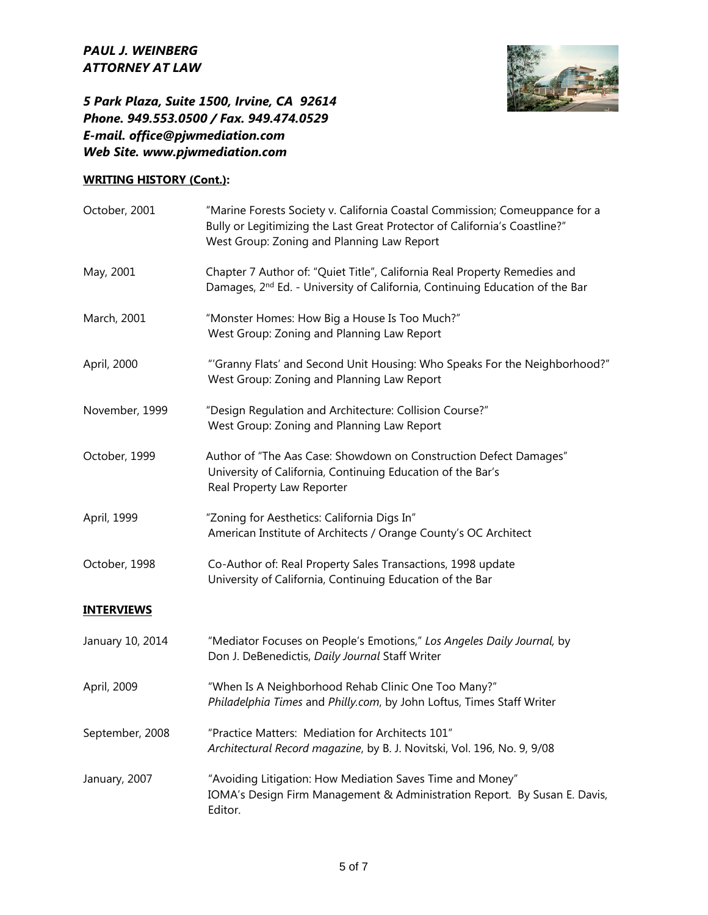

# *5 Park Plaza, Suite 1500, Irvine, CA 92614 Phone. 949.553.0500 / Fax. 949.474.0529 E-mail. office@pjwmediation.com Web Site. www.pjwmediation.com*

# **WRITING HISTORY (Cont.):**

| October, 2001     | "Marine Forests Society v. California Coastal Commission; Comeuppance for a<br>Bully or Legitimizing the Last Great Protector of California's Coastline?"<br>West Group: Zoning and Planning Law Report |
|-------------------|---------------------------------------------------------------------------------------------------------------------------------------------------------------------------------------------------------|
| May, 2001         | Chapter 7 Author of: "Quiet Title", California Real Property Remedies and<br>Damages, 2 <sup>nd</sup> Ed. - University of California, Continuing Education of the Bar                                   |
| March, 2001       | "Monster Homes: How Big a House Is Too Much?"<br>West Group: Zoning and Planning Law Report                                                                                                             |
| April, 2000       | "'Granny Flats' and Second Unit Housing: Who Speaks For the Neighborhood?"<br>West Group: Zoning and Planning Law Report                                                                                |
| November, 1999    | "Design Regulation and Architecture: Collision Course?"<br>West Group: Zoning and Planning Law Report                                                                                                   |
| October, 1999     | Author of "The Aas Case: Showdown on Construction Defect Damages"<br>University of California, Continuing Education of the Bar's<br>Real Property Law Reporter                                          |
| April, 1999       | "Zoning for Aesthetics: California Digs In"<br>American Institute of Architects / Orange County's OC Architect                                                                                          |
| October, 1998     | Co-Author of: Real Property Sales Transactions, 1998 update<br>University of California, Continuing Education of the Bar                                                                                |
| <b>INTERVIEWS</b> |                                                                                                                                                                                                         |
| January 10, 2014  | "Mediator Focuses on People's Emotions," Los Angeles Daily Journal, by<br>Don J. DeBenedictis, Daily Journal Staff Writer                                                                               |
| April, 2009       | "When Is A Neighborhood Rehab Clinic One Too Many?"<br>Philadelphia Times and Philly.com, by John Loftus, Times Staff Writer                                                                            |
| September, 2008   | "Practice Matters: Mediation for Architects 101"<br>Architectural Record magazine, by B. J. Novitski, Vol. 196, No. 9, 9/08                                                                             |
| January, 2007     | "Avoiding Litigation: How Mediation Saves Time and Money"<br>IOMA's Design Firm Management & Administration Report. By Susan E. Davis,<br>Editor.                                                       |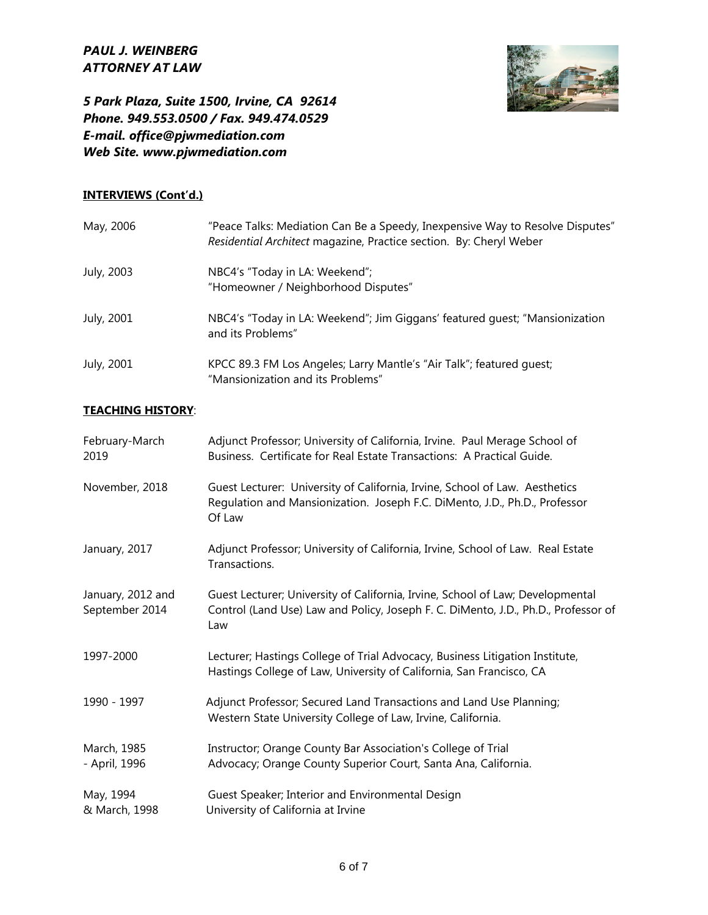

*5 Park Plaza, Suite 1500, Irvine, CA 92614 Phone. 949.553.0500 / Fax. 949.474.0529 E-mail. office@pjwmediation.com Web Site. www.pjwmediation.com*

#### **INTERVIEWS (Cont'd.)**

| May, 2006  | "Peace Talks: Mediation Can Be a Speedy, Inexpensive Way to Resolve Disputes"<br>Residential Architect magazine, Practice section. By: Cheryl Weber |
|------------|-----------------------------------------------------------------------------------------------------------------------------------------------------|
| July, 2003 | NBC4's "Today in LA: Weekend";<br>"Homeowner / Neighborhood Disputes"                                                                               |
| July, 2001 | NBC4's "Today in LA: Weekend"; Jim Giggans' featured quest; "Mansionization<br>and its Problems"                                                    |
| July, 2001 | KPCC 89.3 FM Los Angeles; Larry Mantle's "Air Talk"; featured guest;<br>"Mansionization and its Problems"                                           |

#### **TEACHING HISTORY**:

| February-March<br>2019              | Adjunct Professor; University of California, Irvine. Paul Merage School of<br>Business. Certificate for Real Estate Transactions: A Practical Guide.                        |
|-------------------------------------|-----------------------------------------------------------------------------------------------------------------------------------------------------------------------------|
| November, 2018                      | Guest Lecturer: University of California, Irvine, School of Law. Aesthetics<br>Regulation and Mansionization. Joseph F.C. DiMento, J.D., Ph.D., Professor<br>Of Law         |
| January, 2017                       | Adjunct Professor; University of California, Irvine, School of Law. Real Estate<br>Transactions.                                                                            |
| January, 2012 and<br>September 2014 | Guest Lecturer; University of California, Irvine, School of Law; Developmental<br>Control (Land Use) Law and Policy, Joseph F. C. DiMento, J.D., Ph.D., Professor of<br>Law |
| 1997-2000                           | Lecturer; Hastings College of Trial Advocacy, Business Litigation Institute,<br>Hastings College of Law, University of California, San Francisco, CA                        |
| 1990 - 1997                         | Adjunct Professor; Secured Land Transactions and Land Use Planning;<br>Western State University College of Law, Irvine, California.                                         |
| March, 1985<br>- April, 1996        | Instructor; Orange County Bar Association's College of Trial<br>Advocacy; Orange County Superior Court, Santa Ana, California.                                              |
| May, 1994<br>& March, 1998          | Guest Speaker; Interior and Environmental Design<br>University of California at Irvine                                                                                      |